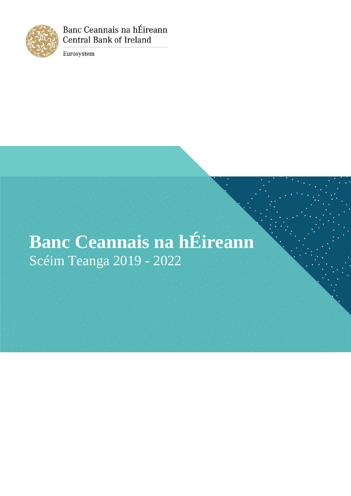

Banc Ceannais na hÉireann **Central Bank of Ireland** 

Eurosystem

# **Banc Ceannais na hÉireann** Scéim Teanga 2019 - 2022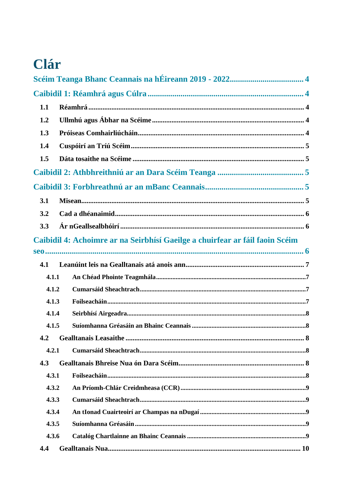# Clár

| 1.1   |                                                                              |  |
|-------|------------------------------------------------------------------------------|--|
| 1.2   |                                                                              |  |
| 1.3   |                                                                              |  |
| 1.4   |                                                                              |  |
| 1.5   |                                                                              |  |
|       |                                                                              |  |
|       |                                                                              |  |
| 3.1   |                                                                              |  |
| 3.2   |                                                                              |  |
| 3.3   |                                                                              |  |
|       | Caibidil 4: Achoimre ar na Seirbhísí Gaeilge a chuirfear ar fáil faoin Scéim |  |
|       |                                                                              |  |
| 4.1   |                                                                              |  |
| 4.1.1 |                                                                              |  |
| 4.1.2 |                                                                              |  |
| 4.1.3 |                                                                              |  |
| 4.1.4 |                                                                              |  |
| 4.1.5 |                                                                              |  |
|       |                                                                              |  |
| 4.2.1 |                                                                              |  |
| 4.3   |                                                                              |  |
| 4.3.1 |                                                                              |  |
| 4.3.2 |                                                                              |  |
| 4.3.3 |                                                                              |  |
| 4.3.4 |                                                                              |  |
| 4.3.5 |                                                                              |  |
| 4.3.6 |                                                                              |  |
| 4.4   |                                                                              |  |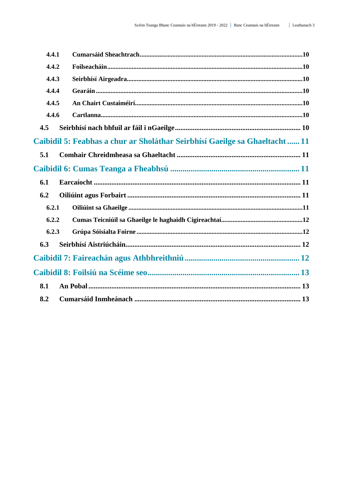| 4.4.1                                                                      |  |  |
|----------------------------------------------------------------------------|--|--|
| 4.4.2                                                                      |  |  |
| 4.4.3                                                                      |  |  |
| 4.4.4                                                                      |  |  |
| 4.4.5                                                                      |  |  |
| 4.4.6                                                                      |  |  |
| 4.5                                                                        |  |  |
| Caibidil 5: Feabhas a chur ar Sholáthar Seirbhísí Gaeilge sa Ghaeltacht 11 |  |  |
| 5.1                                                                        |  |  |
|                                                                            |  |  |
| 6.1                                                                        |  |  |
| 6.2                                                                        |  |  |
| 6.2.1                                                                      |  |  |
| 6.2.2                                                                      |  |  |
| 6.2.3                                                                      |  |  |
| 6.3                                                                        |  |  |
|                                                                            |  |  |
|                                                                            |  |  |
| 8.1                                                                        |  |  |
| 8.2                                                                        |  |  |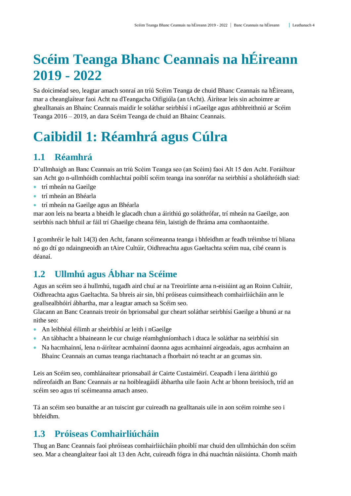# <span id="page-3-0"></span>**Scéim Teanga Bhanc Ceannais na hÉireann 2019 - 2022**

Sa doiciméad seo, leagtar amach sonraí an tríú Scéim Teanga de chuid Bhanc Ceannais na hÉireann, mar a cheanglaítear faoi Acht na dTeangacha Oifigiúla (an tAcht). Áirítear leis sin achoimre ar ghealltanais an Bhainc Ceannais maidir le soláthar seirbhísí i nGaeilge agus athbhreithniú ar Scéim Teanga 2016 – 2019, an dara Scéim Teanga de chuid an Bhainc Ceannais.

# <span id="page-3-1"></span>**Caibidil 1: Réamhrá agus Cúlra**

## <span id="page-3-2"></span>**1.1 Réamhrá**

D'ullmhaigh an Banc Ceannais an tríú Scéim Teanga seo (an Scéim) faoi Alt 15 den Acht. Foráiltear san Acht go n-ullmhóidh comhlachtaí poiblí scéim teanga ina sonrófar na seirbhísí a sholáthróidh siad:

- trí mheán na Gaeilge
- trí mheán an Bhéarla
- trí mheán na Gaeilge agus an Bhéarla

mar aon leis na bearta a bheidh le glacadh chun a áirithiú go soláthrófar, trí mheán na Gaeilge, aon seirbhís nach bhfuil ar fáil trí Ghaeilge cheana féin, laistigh de fhráma ama comhaontaithe.

I gcomhréir le halt 14(3) den Acht, fanann scéimeanna teanga i bhfeidhm ar feadh tréimhse trí bliana nó go dtí go ndaingneoidh an tAire Cultúir, Oidhreachta agus Gaeltachta scéim nua, cibé ceann is déanaí.

# <span id="page-3-3"></span>**1.2 Ullmhú agus Ábhar na Scéime**

Agus an scéim seo á hullmhú, tugadh aird chuí ar na Treoirlínte arna n-eisiúint ag an Roinn Cultúir, Oidhreachta agus Gaeltachta. Sa bhreis air sin, bhí próiseas cuimsitheach comhairliúcháin ann le geallsealbhóirí ábhartha, mar a leagtar amach sa Scéim seo.

Glacann an Banc Ceannais treoir ón bprionsabal gur cheart soláthar seirbhísí Gaeilge a bhunú ar na nithe seo:

- An leibhéal éilimh ar sheirbhísí ar leith i nGaeilge
- An tábhacht a bhaineann le cur chuige réamhghníomhach i dtaca le soláthar na seirbhísí sin
- Na hacmhainní, lena n-áirítear acmhainní daonna agus acmhainní airgeadais, agus acmhainn an Bhainc Ceannais an cumas teanga riachtanach a fhorbairt nó teacht ar an gcumas sin.

Leis an Scéim seo, comhlánaítear prionsabail ár Cairte Custaiméirí. Ceapadh í lena áirithiú go ndíreofaidh an Banc Ceannais ar na hoibleagáidí ábhartha uile faoin Acht ar bhonn breisíoch, tríd an scéim seo agus trí scéimeanna amach anseo.

Tá an scéim seo bunaithe ar an tuiscint gur cuireadh na gealltanais uile in aon scéim roimhe seo i bhfeidhm.

## <span id="page-3-4"></span>**1.3 Próiseas Comhairliúcháin**

Thug an Banc Ceannais faoi phróiseas comhairliúcháin phoiblí mar chuid den ullmhúchán don scéim seo. Mar a cheanglaítear faoi alt 13 den Acht, cuireadh fógra in dhá nuachtán náisiúnta. Chomh maith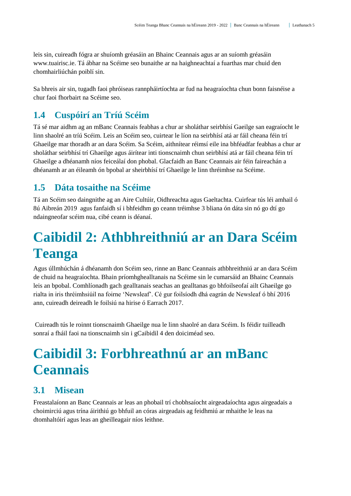leis sin, cuireadh fógra ar shuíomh gréasáin an Bhainc Ceannais agus ar an suíomh gréasáin [www.tuairisc.ie.](http://www.tuairisc.ie/) Tá ábhar na Scéime seo bunaithe ar na haighneachtaí a fuarthas mar chuid den chomhairliúchán poiblí sin.

Sa bhreis air sin, tugadh faoi phróiseas rannpháirtíochta ar fud na heagraíochta chun bonn faisnéise a chur faoi fhorbairt na Scéime seo.

## <span id="page-4-0"></span>**1.4 Cuspóirí an Tríú Scéim**

Tá sé mar aidhm ag an mBanc Ceannais feabhas a chur ar sholáthar seirbhísí Gaeilge san eagraíocht le linn shaolré an tríú Scéim. Leis an Scéim seo, cuirtear le líon na seirbhísí atá ar fáil cheana féin trí Ghaeilge mar thoradh ar an dara Scéim. Sa Scéim, aithnítear réimsí eile ina bhféadfar feabhas a chur ar sholáthar seirbhísí trí Ghaeilge agus áirítear inti tionscnaimh chun seirbhísí atá ar fáil cheana féin trí Ghaeilge a dhéanamh níos feiceálaí don phobal. Glacfaidh an Banc Ceannais air féin faireachán a dhéanamh ar an éileamh ón bpobal ar sheirbhísí trí Ghaeilge le linn thréimhse na Scéime.

## <span id="page-4-1"></span>**1.5 Dáta tosaithe na Scéime**

Tá an Scéim seo daingnithe ag an Aire Cultúir, Oidhreachta agus Gaeltachta. Cuirfear tús léi amhail ó 8ú Aibreán 2019 agus fanfaidh sí i bhfeidhm go ceann tréimhse 3 bliana ón dáta sin nó go dtí go ndaingneofar scéim nua, cibé ceann is déanaí.

# <span id="page-4-2"></span>**Caibidil 2: Athbhreithniú ar an Dara Scéim Teanga**

Agus úllmhúchán á dhéanamh don Scéim seo, rinne an Banc Ceannais athbhreithniú ar an dara Scéim de chuid na heagraíochta. Bhain príomhghealltanais na Scéime sin le cumarsáid an Bhainc Ceannais leis an bpobal. Comhlíonadh gach gealltanais seachas an gealltanas go bhfoilseofaí ailt Ghaeilge go rialta in iris thréimhsiúil na foirne 'Newsleaf'. Cé gur foilsíodh dhá eagrán de Newsleaf ó bhí 2016 ann, cuireadh deireadh le foilsiú na hirise ó Earrach 2017.

Cuireadh tús le roinnt tionscnaimh Ghaeilge nua le linn shaolré an dara Scéim. Is féidir tuilleadh sonraí a fháil faoi na tionscnaimh sin i gCaibidil 4 den doiciméad seo.

# <span id="page-4-3"></span>**Caibidil 3: Forbhreathnú ar an mBanc Ceannais**

## <span id="page-4-4"></span>**3.1 Misean**

Freastalaíonn an Banc Ceannais ar leas an phobail trí chobhsaíocht airgeadaíochta agus airgeadais a choimirciú agus trína áirithiú go bhfuil an córas airgeadais ag feidhmiú ar mhaithe le leas na dtomhaltóirí agus leas an gheilleagair níos leithne.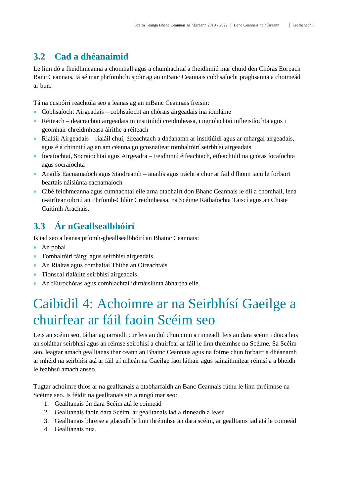## <span id="page-5-0"></span>**3.2 Cad a dhéanaimid**

Le linn dó a fheidhmeanna a chomhall agus a chumhachtaí a fheidhmiú mar chuid den Chóras Eorpach Banc Ceannais, tá sé mar phríomhchuspóir ag an mBanc Ceannais cobhsaíocht praghsanna a choimeád ar bun.

Tá na cuspóirí reachtúla seo a leanas ag an mBanc Ceannais freisin:

- Cobhsaíocht Airgeadais cobhsaíocht an chórais airgeadais ina iomláine
- Réiteach deacrachtaí airgeadais in institiúidí creidmheasa, i ngnólachtaí infheistíochta agus i gcomhair chreidmheasa áirithe a réiteach
- Rialáil Airgeadais rialáil chuí, éifeachtach a dhéanamh ar institiúidí agus ar mhargaí airgeadais, agus é á chinntiú ag an am céanna go gcosnaítear tomhaltóirí seirbhísí airgeadais
- Íocaíochtaí, Socraíochtaí agus Airgeadra Feidhmiú éifeachtach, éifeachtúil na gcóras íocaíochta agus socraíochta
- Anailís Eacnamaíoch agus Staidreamh anailís agus trácht a chur ar fáil d'fhonn tacú le forbairt beartais náisiúnta eacnamaíoch
- Cibé feidhmeanna agus cumhachtaí eile arna dtabhairt don Bhanc Ceannais le dlí a chomhall, lena n-áirítear oibriú an Phríomh-Chláir Creidmheasa, na Scéime Ráthaíochta Taiscí agus an Chiste Cúitimh Árachais.

# <span id="page-5-1"></span>**3.3 Ár nGeallsealbhóirí**

Is iad seo a leanas príomh-gheallsealbhóirí an Bhainc Ceannais:

- An pobal
- Tomhaltóirí táirgí agus seirbhísí airgeadais
- An Rialtas agus comhaltaí Thithe an Oireachtais
- Tionscal rialáilte seirbhísí airgeadais
- <span id="page-5-2"></span>An tEurochóras agus comhlachtaí idirnáisiúnta ábhartha eile.

# Caibidil 4: Achoimre ar na Seirbhísí Gaeilge a chuirfear ar fáil faoin Scéim seo

Leis an scéim seo, táthar ag iarraidh cur leis an dul chun cinn a rinneadh leis an dara scéim i dtaca leis an soláthar seirbhísí agus an réimse seirbhísí a chuirfear ar fáil le linn thréimhse na Scéime. Sa Scéim seo, leagtar amach gealltanas thar ceann an Bhainc Ceannais agus na foirne chun forbairt a dhéanamh ar mhéid na seirbhísí atá ar fáil trí mheán na Gaeilge faoi láthair agus sainaithnítear réimsí a a bheidh le feabhsú amach anseo.

Tugtar achoimre thíos ar na gealltanais a dtabharfaidh an Banc Ceannais fúthu le linn thréimhse na Scéime seo. Is féidir na gealltanais sin a rangú mar seo:

- 1. Gealltanais ón dara Scéim atá le coimeád
- 2. Gealltanais faoin dara Scéim, ar gealltanais iad a rinneadh a leasú
- 3. Gealltanais bhreise a glacadh le linn thréimhse an dara scéim, ar gealltanis iad atá le coimeád
- 4. Gealltanais nua.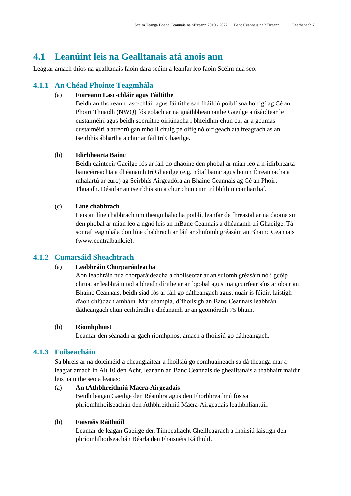### <span id="page-6-0"></span>**4.1 Leanúint leis na Gealltanais atá anois ann**

Leagtar amach thíos na gealltanais faoin dara scéim a leanfar leo faoin Scéim nua seo.

#### <span id="page-6-1"></span>**4.1.1 An Chéad Phointe Teagmhála**

#### (a) **Foireann Lasc-chláir agus Fáiltithe**

Beidh an fhoireann lasc-chláir agus fáiltithe san fháiltiú poiblí sna hoifigí ag Cé an Phoirt Thuaidh (NWQ) fós eolach ar na gnáthbheannaithe Gaeilge a úsáidtear le custaiméirí agus beidh socruithe oiriúnacha i bhfeidhm chun cur ar a gcumas custaiméirí a atreorú gan mhoill chuig pé oifig nó oifigeach atá freagrach as an tseirbhís ábhartha a chur ar fáil trí Ghaeilge.

#### (b) **Idirbhearta Bainc**

Beidh cainteoir Gaeilge fós ar fáil do dhaoine den phobal ar mian leo a n-idirbhearta baincéireachta a dhéanamh trí Ghaeilge (e.g. nótaí bainc agus boinn Éireannacha a mhalartú ar euro) ag Seirbhís Airgeadóra an Bhainc Ceannais ag Cé an Phoirt Thuaidh. Déanfar an tseirbhís sin a chur chun cinn trí bhíthin comharthaí.

#### (c) **Líne chabhrach**

Leis an líne chabhrach um theagmhálacha poiblí, leanfar de fhreastal ar na daoine sin den phobal ar mian leo a ngnó leis an mBanc Ceannais a dhéanamh trí Ghaeilge. Tá sonraí teagmhála don líne chabhrach ar fáil ar shuíomh gréasáin an Bhainc Ceannais (www.centralbank.ie).

### <span id="page-6-2"></span>**4.1.2 Cumarsáid Sheachtrach**

#### (a) **Leabhráin Chorparáideacha**

Aon leabhráin nua chorparáideacha a fhoilseofar ar an suíomh gréasáin nó i gcóip chrua, ar leabhráin iad a bheidh dírithe ar an bpobal agus ina gcuirfear síos ar obair an Bhainc Ceannais, beidh siad fós ar fáil go dátheangach agus, nuair is féidir, laistigh d'aon chlúdach amháin. Mar shampla, d'fhoilsigh an Banc Ceannais leabhrán dátheangach chun ceiliúradh a dhéanamh ar an gcomóradh 75 bliain.

#### (b) **Ríomhphoist**

Leanfar den séanadh ar gach ríomhphost amach a fhoilsiú go dátheangach.

#### <span id="page-6-3"></span>**4.1.3 Foilseacháin**

Sa bhreis ar na doiciméid a cheanglaítear a fhoilsiú go comhuaineach sa dá theanga mar a leagtar amach in Alt 10 den Acht, leanann an Banc Ceannais de ghealltanais a thabhairt maidir leis na nithe seo a leanas:

### (a) **An tAthbhreithniú Macra-Airgeadais** Beidh leagan Gaeilge den Réamhra agus den Fhorbhreathnú fós sa phríomhfhoilseachán den Athbhreithniú Macra-Airgeadais leathbhliantúil.

#### (b) **Faisnéis Ráithiúil**

Leanfar de leagan Gaeilge den Timpeallacht Gheilleagrach a fhoilsiú laistigh den phríomhfhoilseachán Béarla den Fhaisnéis Ráithiúil.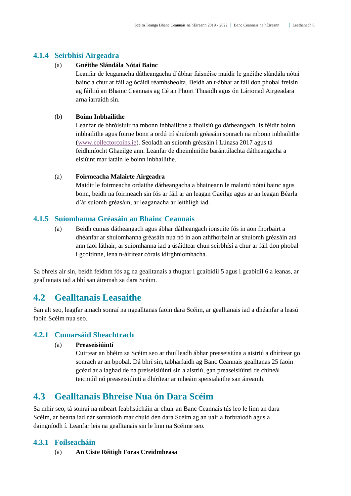#### <span id="page-7-0"></span>**4.1.4 Seirbhísí Airgeadra**

#### (a) **Gnéithe Slándála Nótaí Bainc**

Leanfar de leaganacha dátheangacha d'ábhar faisnéise maidir le gnéithe slándála nótaí bainc a chur ar fáil ag ócáidí réamhsheolta. Beidh an t-ábhar ar fáil don phobal freisin ag fáiltiú an Bhainc Ceannais ag Cé an Phoirt Thuaidh agus ón Lárionad Airgeadara arna iarraidh sin.

#### (b) **Boinn Inbhailithe**

Leanfar de bhróisiúir na mbonn inbhailithe a fhoilsiú go dátheangach. Is féidir boinn inbhailithe agus foirne bonn a ordú trí shuíomh gréasáin sonrach na mbonn inbhailithe [\(www.collectorcoins.ie\)](http://www.collectorcoins.ie/). Seoladh an suíomh gréasáin i Lúnasa 2017 agus tá feidhmíocht Ghaeilge ann. Leanfar de dheimhnithe barántúlachta dátheangacha a eisiúint mar iatáin le boinn inbhailithe.

#### (a) **Foirmeacha Malairte Airgeadra**

Maidir le foirmeacha ordaithe dátheangacha a bhaineann le malartú nótaí bainc agus bonn, beidh na foirmeach sin fós ar fáil ar an leagan Gaeilge agus ar an leagan Béarla d'ár suíomh gréasáin, ar leaganacha ar leithligh iad.

#### <span id="page-7-1"></span>**4.1.5 Suíomhanna Gréasáin an Bhainc Ceannais**

(a) Beidh cumas dátheangach agus ábhar dátheangach ionsuite fós in aon fhorbairt a dhéanfar ar shuíomhanna gréasáin nua nó in aon athfhorbairt ar shuíomh gréasáin atá ann faoi láthair, ar suíomhanna iad a úsáidtear chun seirbhísí a chur ar fáil don phobal i gcoitinne, lena n-áirítear córais idirghníomhacha.

Sa bhreis air sin, beidh feidhm fós ag na gealltanais a thugtar i gcaibidil 5 agus i gcabidil 6 a leanas, ar gealltanais iad a bhí san áiremah sa dara Scéim.

### <span id="page-7-2"></span>**4.2 Gealltanais Leasaithe**

San alt seo, leagfar amach sonraí na ngealltanas faoin dara Scéim, ar gealltanais iad a dhéanfar a leasú faoin Scéim nua seo.

#### <span id="page-7-3"></span>**4.2.1 Cumarsáid Sheachtrach**

#### (a) **Preaseisiúintí**

Cuirtear an bhéim sa Scéim seo ar thuilleadh ábhar preaseisiúna a aistriú a dhírítear go sonrach ar an bpobal. Dá bhrí sin, tabharfaidh ag Banc Ceannais gealltanas 25 faoin gcéad ar a laghad de na preiseisiúintí sin a aistriú, gan preaseisiúintí de chineál teicniúil nó preaseisiúintí a dhírítear ar mheáin speisialaithe san áireamh.

### <span id="page-7-4"></span>**4.3 Gealltanais Bhreise Nua ón Dara Scéim**

Sa mhír seo, tá sonraí na mbeart feabhsúcháin ar chuir an Banc Ceannais tús leo le linn an dara Scéim, ar bearta iad nár sonraíodh mar chuid den dara Scéim ag an uair a forbraíodh agus a daingníodh í. Leanfar leis na gealltanais sin le linn na Scéime seo.

#### <span id="page-7-5"></span>**4.3.1 Foilseacháin**

(a) **An Ciste Réitigh Foras Creidmheasa**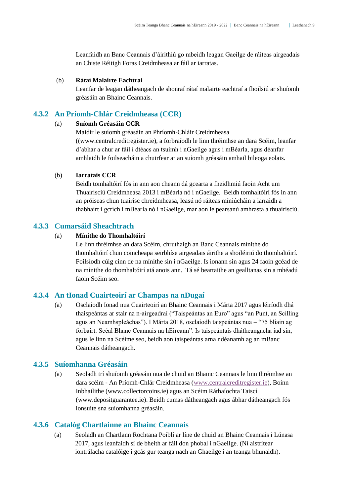Leanfaidh an Banc Ceannais d'áirithiú go mbeidh leagan Gaeilge de ráiteas airgeadais an Chiste Réitigh Foras Creidmheasa ar fáil ar iarratas.

#### (b) **Rátaí Malairte Eachtraí**

Leanfar de leagan dátheangach de shonraí rátaí malairte eachtraí a fhoilsiú ar shuíomh gréasáin an Bhainc Ceannais.

### <span id="page-8-0"></span>**4.3.2 An Príomh-Chlár Creidmheasa (CCR)**

#### (a) **Suíomh Gréasáin CCR**

Maidir le suíomh gréasáin an Phríomh-Chláir Creidmheasa ((www.centralcreditregister.ie), a forbraíodh le linn thréimhse an dara Scéim, leanfar d'abhar a chur ar fáil i dtéacs an tsuímh i nGaeilge agus i mBéarla, agus déanfar amhlaidh le foilseacháin a chuirfear ar an suíomh gréasáin amhail bileoga eolais.

#### (b) **Iarratais CCR**

Beidh tomhaltóirí fós in ann aon cheann dá gcearta a fheidhmiú faoin Acht um Thuairisciú Creidmheasa 2013 i mBéarla nó i nGaeilge. Beidh tomhaltóirí fós in ann an próiseas chun tuairisc chreidmheasa, leasú nó ráiteas míniúcháin a iarraidh a thabhairt i gcrích i mBéarla nó i nGaeilge, mar aon le pearsanú amhrasta a thuairisciú.

### <span id="page-8-1"></span>**4.3.3 Cumarsáid Sheachtrach**

#### (a) **Mínithe do Thomhaltóirí**

Le linn thréimhse an dara Scéim, chruthaigh an Banc Ceannais mínithe do thomhaltóirí chun coincheapa seirbhíse airgeadais áirithe a shoiléiriú do thomhaltóirí. Foilsíodh cúig cinn de na mínithe sin i nGaeilge. Is ionann sin agus 24 faoin gcéad de na mínithe do thomhaltóirí atá anois ann. Tá sé beartaithe an gealltanas sin a mhéadú faoin Scéim seo.

#### <span id="page-8-2"></span>**4.3.4 An tIonad Cuairteoirí ar Champas na nDugaí**

(a) Osclaíodh Ionad nua Cuairteoirí an Bhainc Ceannais i Márta 2017 agus léiríodh dhá thaispeántas ar stair na n-airgeadraí ("Taispeántas an Euro" agus "an Punt, an Scilling agus an Neamhspleáchas"). I Márta 2018, osclaíodh taispeántas nua – "75 bliain ag forbairt: Scéal Bhanc Ceannais na hÉireann". Is taispeántais dhátheangacha iad sin, agus le linn na Scéime seo, beidh aon taispeántas arna ndéanamh ag an mBanc Ceannais dátheangach.

#### <span id="page-8-3"></span>**4.3.5 Suíomhanna Gréasáin**

(a) Seoladh trí shuíomh gréasáin nua de chuid an Bhainc Ceannais le linn thréimhse an dara scéim - An Príomh-Chlár Creidmheasa [\(www.centralcreditregister.ie\)](https://www.centralcreditregister.ie/ga), Boinn Inbhailithe [\(www.collectorcoins.ie\)](https://www.collectorcoins.ie/ga/?___store=ga) agus an Scéim Ráthaíochta Taiscí [\(www.depositguarantee.ie\)](https://www.depositguarantee.ie/ga). Beidh cumas dátheangach agus ábhar dátheangach fós ionsuite sna suíomhanna gréasáin.

#### <span id="page-8-4"></span>**4.3.6 Catalóg Chartlainne an Bhainc Ceannais**

(a) Seoladh an Chartlann Rochtana Poiblí ar líne de chuid an Bhainc Ceannais i Lúnasa 2017, agus leanfaidh sí de bheith ar fáil don phobal i nGaeilge. (Ní aistrítear iontrálacha catalóige i gcás gur teanga nach an Ghaeilge í an teanga bhunaidh).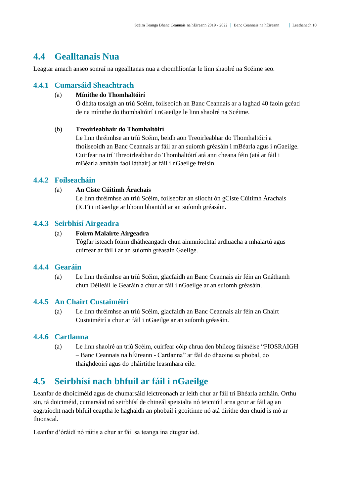### <span id="page-9-0"></span>**4.4 Gealltanais Nua**

Leagtar amach anseo sonraí na ngealltanas nua a chomhlíonfar le linn shaolré na Scéime seo.

#### <span id="page-9-1"></span>**4.4.1 Cumarsáid Sheachtrach**

#### (a) **Mínithe do Thomhaltóirí**

Ó dháta tosaigh an tríú Scéim, foilseoidh an Banc Ceannais ar a laghad 40 faoin gcéad de na mínithe do thomhaltóirí i nGaeilge le linn shaolré na Scéime.

#### (b) **Treoirleabhair do Thomhaltóirí**

Le linn thréimhse an tríú Scéim, beidh aon Treoirleabhar do Thomhaltóirí a fhoilseoidh an Banc Ceannais ar fáil ar an suíomh gréasáin i mBéarla agus i nGaeilge. Cuirfear na trí Threoirleabhar do Thomhaltóirí atá ann cheana féin (atá ar fáil i mBéarla amháin faoi láthair) ar fáil i nGaeilge freisin.

#### <span id="page-9-2"></span>**4.4.2 Foilseacháin**

#### (a) **An Ciste Cúitimh Árachais**

Le linn thréimhse an tríú Scéim, foilseofar an sliocht ón gCiste Cúitimh Árachais (ICF) i nGaeilge ar bhonn bliantúil ar an suíomh gréasáin.

#### <span id="page-9-3"></span>**4.4.3 Seirbhísí Airgeadra**

#### (a) **Foirm Malairte Airgeadra**

Tógfar isteach foirm dhátheangach chun ainmníochtaí ardluacha a mhalartú agus cuirfear ar fáil í ar an suíomh gréasáin Gaeilge.

#### <span id="page-9-4"></span>**4.4.4 Gearáin**

(a) Le linn thréimhse an tríú Scéim, glacfaidh an Banc Ceannais air féin an Gnáthamh chun Déileáil le Gearáin a chur ar fáil i nGaeilge ar an suíomh gréasáin.

#### <span id="page-9-5"></span>**4.4.5 An Chairt Custaiméirí**

(a) Le linn thréimhse an tríú Scéim, glacfaidh an Banc Ceannais air féin an Chairt Custaiméirí a chur ar fáil i nGaeilge ar an suíomh gréasáin.

#### <span id="page-9-6"></span>**4.4.6 Cartlanna**

(a) Le linn shaolré an tríú Scéim, cuirfear cóip chrua den bhileog faisnéise "FIOSRAIGH – Banc Ceannais na hÉireann - Cartlanna" ar fáil do dhaoine sa phobal, do thaighdeoirí agus do pháirtithe leasmhara eile.

## <span id="page-9-7"></span>**4.5 Seirbhísí nach bhfuil ar fáil i nGaeilge**

Leanfar de dhoiciméid agus de chumarsáid leictreonach ar leith chur ar fáil trí Bhéarla amháin. Orthu sin, tá doiciméid, cumarsáid nó seirbhísí de chineál speisialta nó teicniúil arna gcur ar fáil ag an eagraíocht nach bhfuil ceaptha le haghaidh an phobail i gcoitinne nó atá dírithe den chuid is mó ar thionscal.

Leanfar d'óráidí nó ráitis a chur ar fáil sa teanga ina dtugtar iad.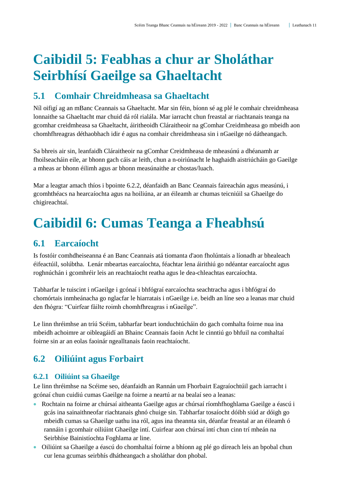# <span id="page-10-0"></span>**Caibidil 5: Feabhas a chur ar Sholáthar Seirbhísí Gaeilge sa Ghaeltacht**

## <span id="page-10-1"></span>**5.1 Comhair Chreidmheasa sa Ghaeltacht**

Níl oifigí ag an mBanc Ceannais sa Ghaeltacht. Mar sin féin, bíonn sé ag plé le comhair chreidmheasa lonnaithe sa Ghaeltacht mar chuid dá ról rialála. Mar iarracht chun freastal ar riachtanais teanga na gcomhar creidmheasa sa Ghaeltacht, áiritheoidh Cláraitheoir na gComhar Creidmheasa go mbeidh aon chomhfhreagras déthaobhach idir é agus na comhair chreidmheasa sin i nGaeilge nó dátheangach.

Sa bhreis air sin, leanfaidh Cláraitheoir na gComhar Creidmheasa de mheasúnú a dhéanamh ar fhoilseacháin eile, ar bhonn gach cáis ar leith, chun a n-oiriúnacht le haghaidh aistriúcháin go Gaeilge a mheas ar bhonn éilimh agus ar bhonn measúnaithe ar chostas/luach.

Mar a leagtar amach thíos i bpointe 6.2.2, déanfaidh an Banc Ceannais faireachán agus measúnú, i gcomhthéacs na hearcaíochta agus na hoiliúna, ar an éileamh ar chumas teicniúil sa Ghaeilge do chigireachtaí.

# <span id="page-10-2"></span>**Caibidil 6: Cumas Teanga a Fheabhsú**

## <span id="page-10-3"></span>**6.1 Earcaíocht**

Is fostóir comhdheiseanna é an Banc Ceannais atá tiomanta d'aon fholúntais a líonadh ar bhealeach éifeactúil, solúbtha. Lenár mbeartas earcaíochta, féachtar lena áirithiú go ndéantar earcaíocht agus roghnúchán i gcomhréir leis an reachtaíocht reatha agus le dea-chleachtas earcaíochta.

Tabharfar le tuiscint i nGaeilge i gcónaí i bhfógraí earcaíochta seachtracha agus i bhfógraí do chomórtais inmheánacha go nglacfar le hiarratais i nGaeilge i.e. beidh an líne seo a leanas mar chuid den fhógra: "Cuirfear fáilte roimh chomhfhreagras i nGaeilge".

Le linn thréimhse an tríú Scéim, tabharfar beart ionduchtúcháin do gach comhalta foirne nua ina mbeidh achoimre ar oibleagáidí an Bhainc Ceannais faoin Acht le cinntiú go bhfuil na comhaltaí foirne sin ar an eolas faoinár ngealltanais faoin reachtaíocht.

## <span id="page-10-4"></span>**6.2 Oiliúint agus Forbairt**

### <span id="page-10-5"></span>**6.2.1 Oiliúint sa Ghaeilge**

Le linn thréimhse na Scéime seo, déanfaidh an Rannán um Fhorbairt Eagraíochtúil gach iarracht i gcónaí chun cuidiú cumas Gaeilge na foirne a neartú ar na bealaí seo a leanas:

- Rochtain na foirne ar chúrsaí aitheanta Gaeilge agus ar chúrsaí ríomhfhoghlama Gaeilge a éascú i gcás ina sainaithneofar riachtanais ghnó chuige sin. Tabharfar tosaíocht dóibh siúd ar dóigh go mbeidh cumas sa Ghaeilge uathu ina ról, agus ina theannta sin, déanfar freastal ar an éileamh ó rannáin i gcomhair oiliúint Ghaeilge intí. Cuirfear aon chúrsaí intí chun cinn trí mheán na Seirbhíse Bainistíochta Foghlama ar line.
- Oiliúint sa Ghaeilge a éascú do chomhaltaí foirne a bhíonn ag plé go díreach leis an bpobal chun cur lena gcumas seirbhís dhátheangach a sholáthar don phobal.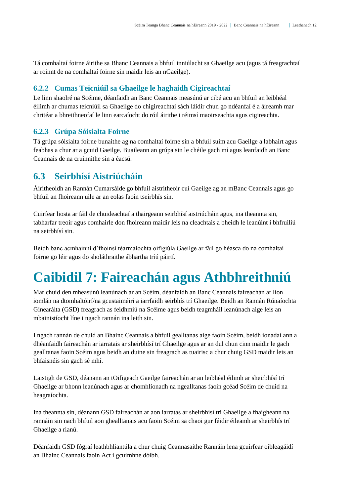Tá comhaltaí foirne áirithe sa Bhanc Ceannais a bhfuil inniúlacht sa Ghaeilge acu (agus tá freagrachtaí ar roinnt de na comhaltaí foirne sin maidir leis an nGaeilge).

#### <span id="page-11-0"></span>**6.2.2 Cumas Teicniúil sa Ghaeilge le haghaidh Cigireachtaí**

Le linn shaolré na Scéime, déanfaidh an Banc Ceannais measúnú ar cibé acu an bhfuil an leibhéal éilimh ar chumas teicniúil sa Ghaeilge do chigireachtaí sách láidir chun go ndéanfaí é a áireamh mar chritéar a bhreithneofaí le linn earcaíocht do róil áirithe i réimsí maoirseachta agus cigireachta.

#### <span id="page-11-1"></span>**6.2.3 Grúpa Sóisialta Foirne**

Tá grúpa sóisialta foirne bunaithe ag na comhaltaí foirne sin a bhfuil suim acu Gaeilge a labhairt agus feabhas a chur ar a gcuid Gaeilge. Buaileann an grúpa sin le chéile gach mí agus leanfaidh an Banc Ceannais de na cruinnithe sin a éacsú.

## <span id="page-11-2"></span>**6.3 Seirbhísí Aistriúcháin**

Áiritheoidh an Rannán Cumarsáide go bhfuil aistritheoir cuí Gaeilge ag an mBanc Ceannais agus go bhfuil an fhoireann uile ar an eolas faoin tseirbhís sin.

Cuirfear liosta ar fáil de chuideachtaí a thairgeann seirbhísí aistriúcháin agus, ina theannta sin, tabharfar treoir agus comhairle don fhoireann maidir leis na cleachtais a bheidh le leanúint i bhfruiliú na seirbhísí sin.

Beidh banc acmhainní d'fhoinsí téarmaíochta oifigiúla Gaeilge ar fáil go héasca do na comhaltaí foirne go léir agus do sholáthraithe ábhartha tríú páirtí.

# <span id="page-11-3"></span>**Caibidil 7: Faireachán agus Athbhreithniú**

Mar chuid den mheasúnú leanúnach ar an Scéim, déanfaidh an Banc Ceannais faireachán ar líon iomlán na dtomhaltóirí/na gcustaiméirí a iarrfaidh seirbhís trí Ghaeilge. Beidh an Rannán Rúnaíochta Ginearálta (GSD) freagrach as feidhmiú na Scéime agus beidh teagmháil leanúnach aige leis an mbainistíocht líne i ngach rannán ina leith sin.

I ngach rannán de chuid an Bhainc Ceannais a bhfuil gealltanas aige faoin Scéim, beidh ionadaí ann a dhéanfaidh faireachán ar iarratais ar sheirbhísí trí Ghaeilge agus ar an dul chun cinn maidir le gach gealltanas faoin Scéim agus beidh an duine sin freagrach as tuairisc a chur chuig GSD maidir leis an bhfaisnéis sin gach sé mhí.

Laistigh de GSD, déanann an tOifigeach Gaeilge faireachán ar an leibhéal éilimh ar sheirbhísí trí Ghaeilge ar bhonn leanúnach agus ar chomhlíonadh na ngealltanas faoin gcéad Scéim de chuid na heagraíochta.

Ina theannta sin, déanann GSD faireachán ar aon iarratas ar sheirbhísí trí Ghaeilge a fhaigheann na rannáin sin nach bhfuil aon ghealltanais acu faoin Scéim sa chaoi gur féidir éileamh ar sheirbhís trí Ghaeilge a rianú.

Déanfaidh GSD fógraí leathbhliantúla a chur chuig Ceannasaithe Rannáin lena gcuirfear oibleagáidí an Bhainc Ceannais faoin Act i gcuimhne dóibh.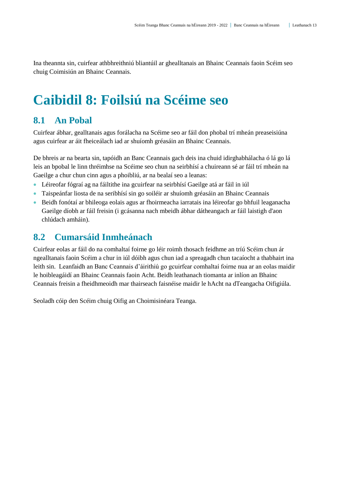Ina theannta sin, cuirfear athbhreithniú bliantúil ar ghealltanais an Bhainc Ceannais faoin Scéim seo chuig Coimisiún an Bhainc Ceannais.

# <span id="page-12-0"></span>**Caibidil 8: Foilsiú na Scéime seo**

## <span id="page-12-1"></span>**8.1 An Pobal**

Cuirfear ábhar, gealltanais agus forálacha na Scéime seo ar fáil don phobal trí mheán preaseisiúna agus cuirfear ar áit fheiceálach iad ar shuíomh gréasáin an Bhainc Ceannais.

De bhreis ar na bearta sin, tapóidh an Banc Ceannais gach deis ina chuid idirghabhálacha ó lá go lá leis an bpobal le linn thréimhse na Scéime seo chun na seirbhísí a chuireann sé ar fáil trí mheán na Gaeilge a chur chun cinn agus a phoibliú, ar na bealaí seo a leanas:

- Léireofar fógraí ag na fáiltithe ina gcuirfear na seirbhísí Gaeilge atá ar fáil in iúl
- Taispeánfar liosta de na seribhísí sin go soiléir ar shuíomh gréasáin an Bhainc Ceannais
- Beidh fonótaí ar bhileoga eolais agus ar fhoirmeacha iarratais ina léireofar go bhfuil leaganacha Gaeilge díobh ar fáil freisin (i gcásanna nach mbeidh ábhar dátheangach ar fáil laistigh d'aon chlúdach amháin).

### <span id="page-12-2"></span>**8.2 Cumarsáid Inmheánach**

Cuirfear eolas ar fáil do na comhaltaí foirne go léir roimh thosach feidhme an tríú Scéim chun ár ngealltanais faoin Scéim a chur in iúl dóibh agus chun iad a spreagadh chun tacaíocht a thabhairt ina leith sin. Leanfaidh an Banc Ceannais d'áirithiú go gcuirfear comhaltaí foirne nua ar an eolas maidir le hoibleagáidí an Bhainc Ceannais faoin Acht. Beidh leathanach tiomanta ar inlíon an Bhainc Ceannais freisin a fheidhmeoidh mar thairseach faisnéise maidir le hAcht na dTeangacha Oifigiúla.

Seoladh cóip den Scéim chuig Oifig an Choimisinéara Teanga.